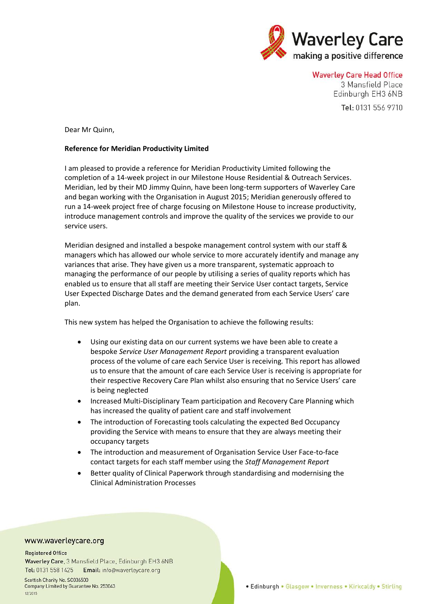

**Waverley Care Head Office** 

3 Mansfield Place Edinburgh EH3 6NB Tel: 0131 556 9710

Dear Mr Quinn,

## **Reference for Meridian Productivity Limited**

I am pleased to provide a reference for Meridian Productivity Limited following the completion of a 14-week project in our Milestone House Residential & Outreach Services. Meridian, led by their MD Jimmy Quinn, have been long-term supporters of Waverley Care and began working with the Organisation in August 2015; Meridian generously offered to run a 14-week project free of charge focusing on Milestone House to increase productivity, introduce management controls and improve the quality of the services we provide to our service users.

Meridian designed and installed a bespoke management control system with our staff & managers which has allowed our whole service to more accurately identify and manage any variances that arise. They have given us a more transparent, systematic approach to managing the performance of our people by utilising a series of quality reports which has enabled us to ensure that all staff are meeting their Service User contact targets, Service User Expected Discharge Dates and the demand generated from each Service Users' care plan.

This new system has helped the Organisation to achieve the following results:

- Using our existing data on our current systems we have been able to create a bespoke *Service User Management Report* providing a transparent evaluation process of the volume of care each Service User is receiving*.* This report has allowed us to ensure that the amount of care each Service User is receiving is appropriate for their respective Recovery Care Plan whilst also ensuring that no Service Users' care is being neglected
- Increased Multi-Disciplinary Team participation and Recovery Care Planning which has increased the quality of patient care and staff involvement
- The introduction of Forecasting tools calculating the expected Bed Occupancy providing the Service with means to ensure that they are always meeting their occupancy targets
- The introduction and measurement of Organisation Service User Face-to-face contact targets for each staff member using the *Staff Management Report*
- Better quality of Clinical Paperwork through standardising and modernising the Clinical Administration Processes

## www.waverleycare.org

## **Registered Office**

Waverley Care, 3 Mansfield Place, Edinburgh EH3 6NB Tel: 0131 558 1425 Email: info@waverleycare.org